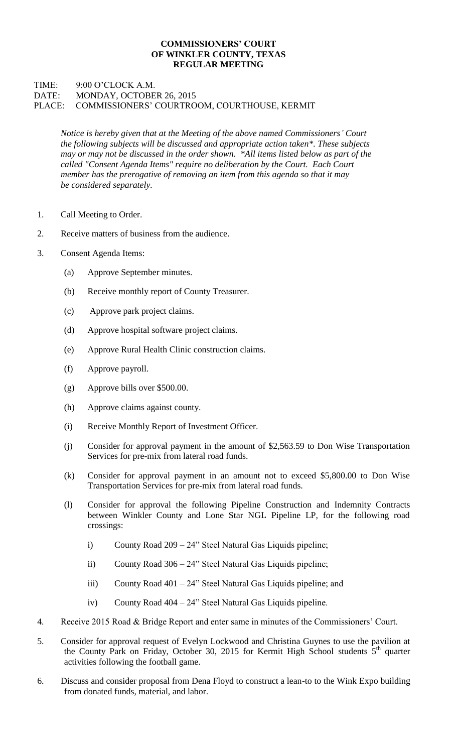## **COMMISSIONERS' COURT OF WINKLER COUNTY, TEXAS REGULAR MEETING**

## TIME: 9:00 O'CLOCK A.M. DATE: MONDAY, OCTOBER 26, 2015 PLACE: COMMISSIONERS' COURTROOM, COURTHOUSE, KERMIT

*Notice is hereby given that at the Meeting of the above named Commissioners' Court the following subjects will be discussed and appropriate action taken\*. These subjects may or may not be discussed in the order shown. \*All items listed below as part of the called "Consent Agenda Items" require no deliberation by the Court. Each Court member has the prerogative of removing an item from this agenda so that it may be considered separately.*

- 1. Call Meeting to Order.
- 2. Receive matters of business from the audience.
- 3. Consent Agenda Items:
	- (a) Approve September minutes.
	- (b) Receive monthly report of County Treasurer.
	- (c) Approve park project claims.
	- (d) Approve hospital software project claims.
	- (e) Approve Rural Health Clinic construction claims.
	- (f) Approve payroll.
	- (g) Approve bills over \$500.00.
	- (h) Approve claims against county.
	- (i) Receive Monthly Report of Investment Officer.
	- (j) Consider for approval payment in the amount of \$2,563.59 to Don Wise Transportation Services for pre-mix from lateral road funds.
	- (k) Consider for approval payment in an amount not to exceed \$5,800.00 to Don Wise Transportation Services for pre-mix from lateral road funds.
	- (l) Consider for approval the following Pipeline Construction and Indemnity Contracts between Winkler County and Lone Star NGL Pipeline LP, for the following road crossings:
		- i) County Road 209 24" Steel Natural Gas Liquids pipeline;
		- ii) County Road 306 24" Steel Natural Gas Liquids pipeline;
		- iii) County Road 401 24" Steel Natural Gas Liquids pipeline; and
		- iv) County Road 404 24" Steel Natural Gas Liquids pipeline.
- 4. Receive 2015 Road & Bridge Report and enter same in minutes of the Commissioners' Court.
- 5. Consider for approval request of Evelyn Lockwood and Christina Guynes to use the pavilion at the County Park on Friday, October 30, 2015 for Kermit High School students  $5<sup>th</sup>$  quarter activities following the football game.
- 6. Discuss and consider proposal from Dena Floyd to construct a lean-to to the Wink Expo building from donated funds, material, and labor.